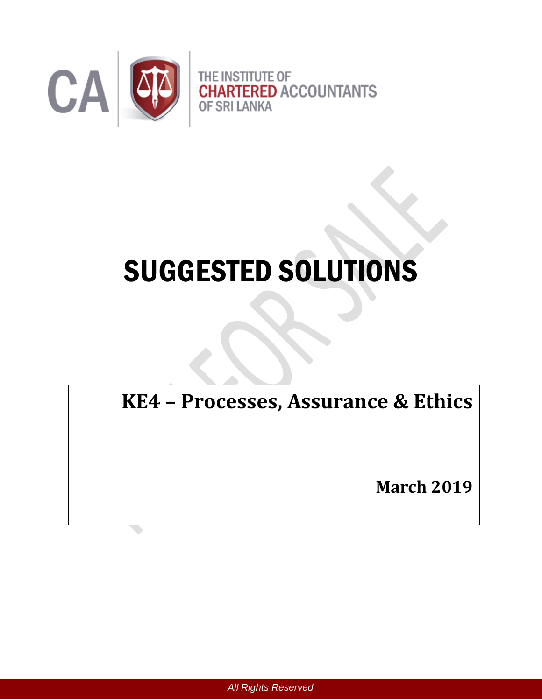

# SUGGESTED SOLUTIONS

**KE4 – Processes, Assurance & Ethics** 

**March 2019**

*All Rights Reserved*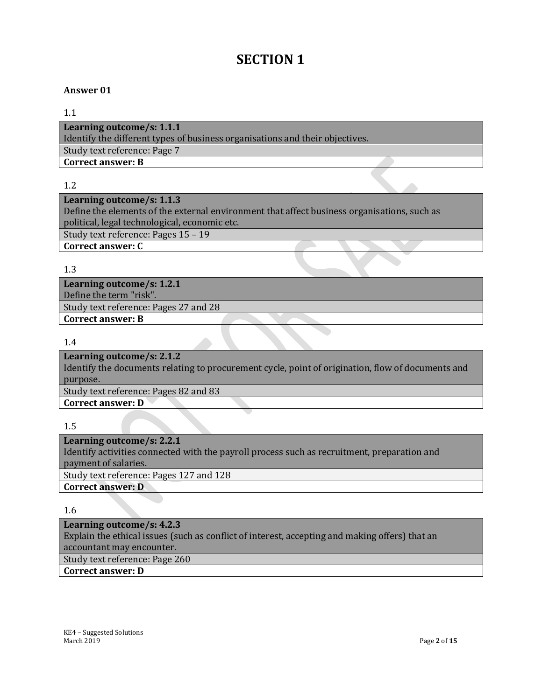# **SECTION 1**

#### **Answer 01**

#### 1.1

**Learning outcome/s: 1.1.1** Identify the different types of business organisations and their objectives. Study text reference: Page 7 **Correct answer: B**

1.2

### **Learning outcome/s: 1.1.3**

Define the elements of the external environment that affect business organisations, such as political, legal technological, economic etc.

Study text reference: Pages 15 – 19

**Correct answer: C**

#### 1.3

**Learning outcome/s: 1.2.1** Define the term "risk". Study text reference: Pages 27 and 28 **Correct answer: B**

1.4

**Learning outcome/s: 2.1.2** Identify the documents relating to procurement cycle, point of origination, flow of documents and purpose. Study text reference: Pages 82 and 83 **Correct answer: D**

1.5

**Learning outcome/s: 2.2.1** Identify activities connected with the payroll process such as recruitment, preparation and payment of salaries. Study text reference: Pages 127 and 128 **Correct answer: D**

1.6

**Learning outcome/s: 4.2.3** Explain the ethical issues (such as conflict of interest, accepting and making offers) that an accountant may encounter. Study text reference: Page 260 **Correct answer: D**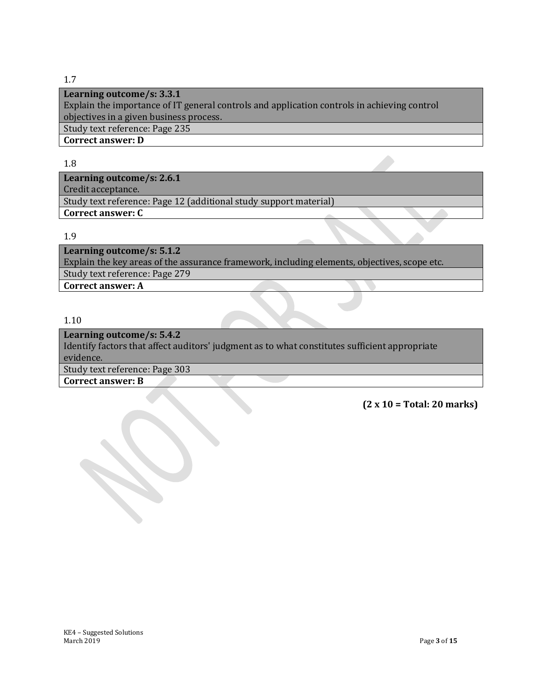# 1.7

**Learning outcome/s: 3.3.1**

Explain the importance of IT general controls and application controls in achieving control objectives in a given business process.

Study text reference: Page 235

**Correct answer: D**

## 1.8

**Learning outcome/s: 2.6.1** Credit acceptance. Study text reference: Page 12 (additional study support material) **Correct answer: C**

## 1.9

**Learning outcome/s: 5.1.2** Explain the key areas of the assurance framework, including elements, objectives, scope etc. Study text reference: Page 279

**Correct answer: A**

# 1.10

**Learning outcome/s: 5.4.2** Identify factors that affect auditors' judgment as to what constitutes sufficient appropriate evidence. Study text reference: Page 303 **Correct answer: B**

**(2 x 10 = Total: 20 marks)**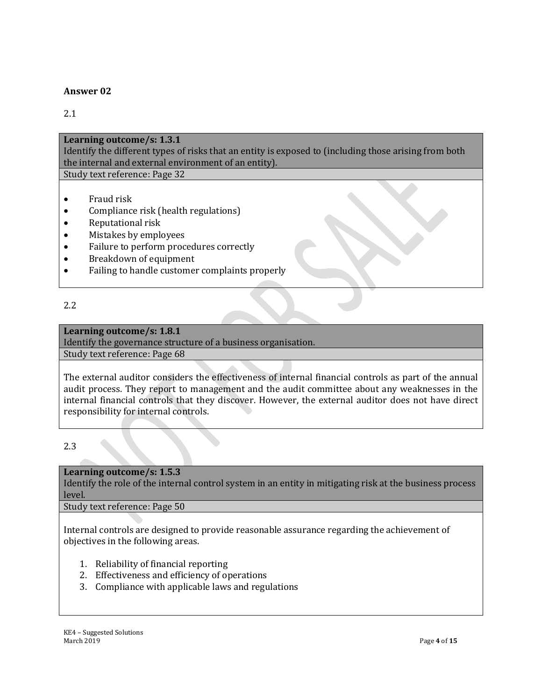## **Answer 02**

# 2.1

#### **Learning outcome/s: 1.3.1**

Identify the different types of risks that an entity is exposed to (including those arising from both the internal and external environment of an entity).

Study text reference: Page 32

- Fraud risk
- Compliance risk (health regulations)
- Reputational risk
- Mistakes by employees
- Failure to perform procedures correctly
- Breakdown of equipment
- Failing to handle customer complaints properly

# 2.2

## **Learning outcome/s: 1.8.1**

Identify the governance structure of a business organisation.

Study text reference: Page 68

The external auditor considers the effectiveness of internal financial controls as part of the annual audit process. They report to management and the audit committee about any weaknesses in the internal financial controls that they discover. However, the external auditor does not have direct responsibility for internal controls.

# 2.3

# **Learning outcome/s: 1.5.3**

Identify the role of the internal control system in an entity in mitigating risk at the business process level.

Study text reference: Page 50

Internal controls are designed to provide reasonable assurance regarding the achievement of objectives in the following areas.

- 1. Reliability of financial reporting
- 2. Effectiveness and efficiency of operations
- 3. Compliance with applicable laws and regulations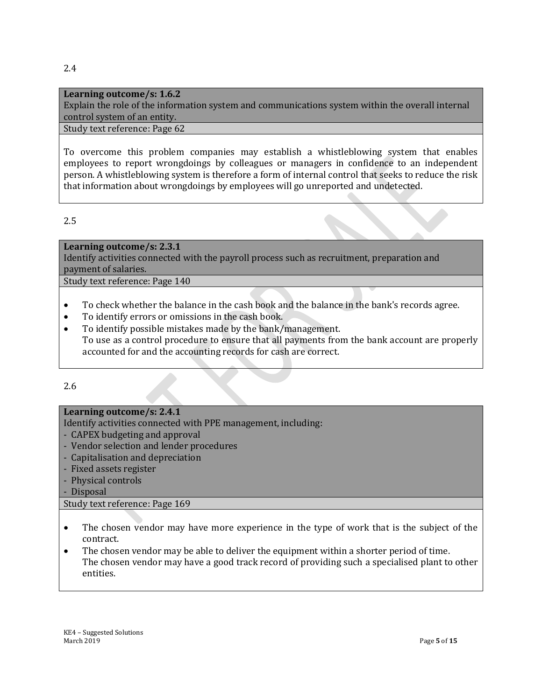## **Learning outcome/s: 1.6.2**

Explain the role of the information system and communications system within the overall internal control system of an entity.

#### Study text reference: Page 62

To overcome this problem companies may establish a whistleblowing system that enables employees to report wrongdoings by colleagues or managers in confidence to an independent person. A whistleblowing system is therefore a form of internal control that seeks to reduce the risk that information about wrongdoings by employees will go unreported and undetected.

2.5

#### **Learning outcome/s: 2.3.1**

Identify activities connected with the payroll process such as recruitment, preparation and payment of salaries.

Study text reference: Page 140

- To check whether the balance in the cash book and the balance in the bank's records agree.
- To identify errors or omissions in the cash book.
- To identify possible mistakes made by the bank/management. To use as a control procedure to ensure that all payments from the bank account are properly accounted for and the accounting records for cash are correct.

2.6

## **Learning outcome/s: 2.4.1**

Identify activities connected with PPE management, including:

- CAPEX budgeting and approval
- Vendor selection and lender procedures
- Capitalisation and depreciation
- Fixed assets register
- Physical controls
- Disposal

Study text reference: Page 169

- The chosen vendor may have more experience in the type of work that is the subject of the contract.
- The chosen vendor may be able to deliver the equipment within a shorter period of time. The chosen vendor may have a good track record of providing such a specialised plant to other entities.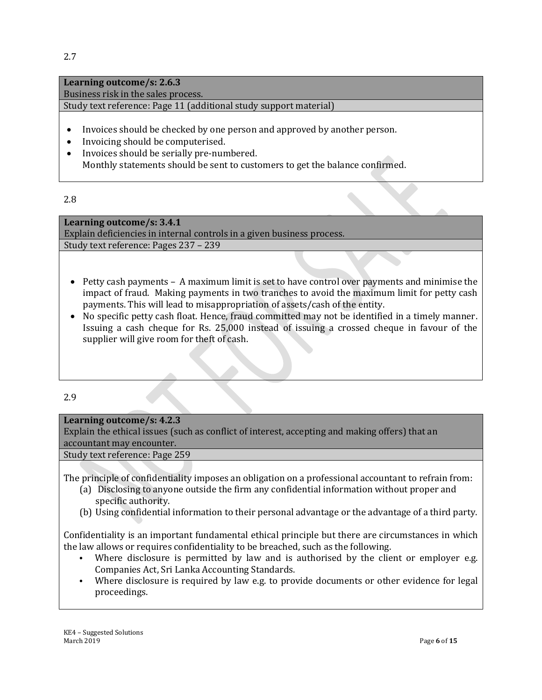# **Learning outcome/s: 2.6.3**

Business risk in the sales process.

Study text reference: Page 11 (additional study support material)

- Invoices should be checked by one person and approved by another person.
- Invoicing should be computerised.
- Invoices should be serially pre-numbered. Monthly statements should be sent to customers to get the balance confirmed.

## 2.8

**Learning outcome/s: 3.4.1** Explain deficiencies in internal controls in a given business process. Study text reference: Pages 237 – 239

- Petty cash payments A maximum limit is set to have control over payments and minimise the impact of fraud. Making payments in two tranches to avoid the maximum limit for petty cash payments. This will lead to misappropriation of assets/cash of the entity.
- No specific petty cash float. Hence, fraud committed may not be identified in a timely manner. Issuing a cash cheque for Rs. 25,000 instead of issuing a crossed cheque in favour of the supplier will give room for theft of cash.

# 2.9

# **Learning outcome/s: 4.2.3**

Explain the ethical issues (such as conflict of interest, accepting and making offers) that an accountant may encounter.

Study text reference: Page 259

The principle of confidentiality imposes an obligation on a professional accountant to refrain from:

- (a) Disclosing to anyone outside the firm any confidential information without proper and specific authority.
- (b) Using confidential information to their personal advantage or the advantage of a third party.

Confidentiality is an important fundamental ethical principle but there are circumstances in which the law allows or requires confidentiality to be breached, such as the following.

- Where disclosure is permitted by law and is authorised by the client or employer e.g. Companies Act, Sri Lanka Accounting Standards.
- Where disclosure is required by law e.g. to provide documents or other evidence for legal proceedings.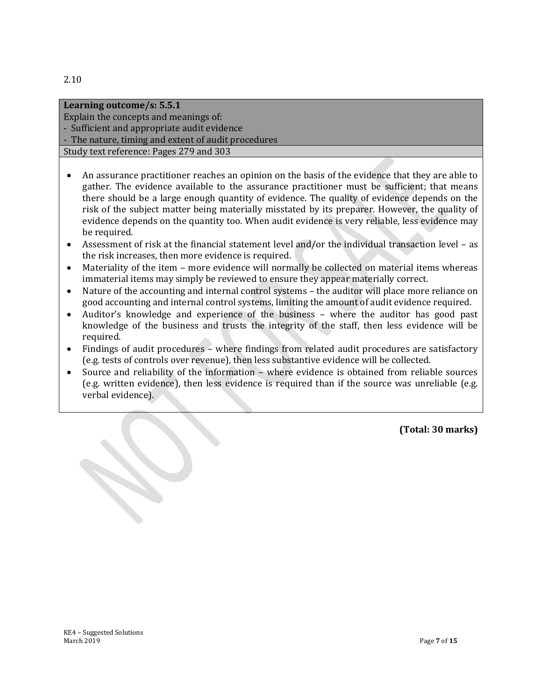2.10

| Learning outcome/s: 5.5.1                           |  |
|-----------------------------------------------------|--|
| Explain the concepts and meanings of:               |  |
| - Sufficient and appropriate audit evidence         |  |
| - The nature, timing and extent of audit procedures |  |
| Study text reference: Pages 279 and 303             |  |
|                                                     |  |

- An assurance practitioner reaches an opinion on the basis of the evidence that they are able to gather. The evidence available to the assurance practitioner must be sufficient; that means there should be a large enough quantity of evidence. The quality of evidence depends on the risk of the subject matter being materially misstated by its preparer. However, the quality of evidence depends on the quantity too. When audit evidence is very reliable, less evidence may be required.
- Assessment of risk at the financial statement level and/or the individual transaction level as the risk increases, then more evidence is required.
- Materiality of the item more evidence will normally be collected on material items whereas immaterial items may simply be reviewed to ensure they appear materially correct.
- Nature of the accounting and internal control systems the auditor will place more reliance on good accounting and internal control systems, limiting the amount of audit evidence required.
- Auditor's knowledge and experience of the business where the auditor has good past knowledge of the business and trusts the integrity of the staff, then less evidence will be required.
- Findings of audit procedures where findings from related audit procedures are satisfactory (e.g. tests of controls over revenue), then less substantive evidence will be collected.
- Source and reliability of the information where evidence is obtained from reliable sources (e.g. written evidence), then less evidence is required than if the source was unreliable (e.g. verbal evidence).

**(Total: 30 marks)**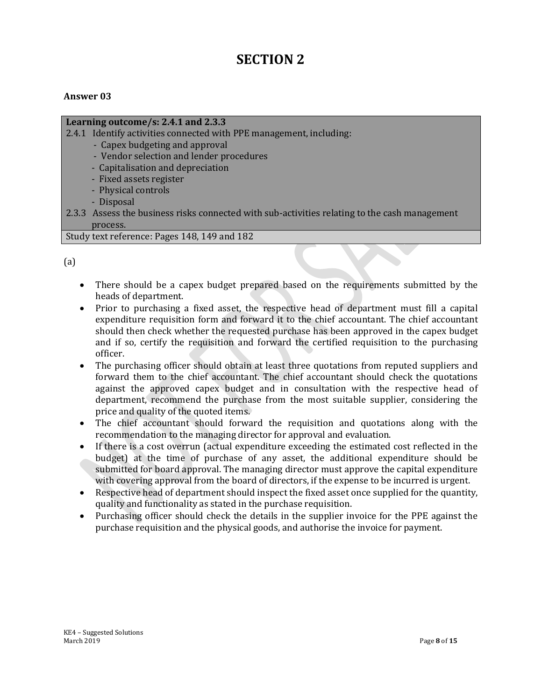# **SECTION 2**

## **Answer 03**

#### **Learning outcome/s: 2.4.1 and 2.3.3**

- 2.4.1 Identify activities connected with PPE management, including:
	- Capex budgeting and approval
	- Vendor selection and lender procedures
	- Capitalisation and depreciation
	- Fixed assets register
	- Physical controls
	- Disposal
- 2.3.3 Assess the business risks connected with sub-activities relating to the cash management process.

#### Study text reference: Pages 148, 149 and 182

(a)

- There should be a capex budget prepared based on the requirements submitted by the heads of department.
- Prior to purchasing a fixed asset, the respective head of department must fill a capital expenditure requisition form and forward it to the chief accountant. The chief accountant should then check whether the requested purchase has been approved in the capex budget and if so, certify the requisition and forward the certified requisition to the purchasing officer.
- The purchasing officer should obtain at least three quotations from reputed suppliers and forward them to the chief accountant. The chief accountant should check the quotations against the approved capex budget and in consultation with the respective head of department, recommend the purchase from the most suitable supplier, considering the price and quality of the quoted items.
- The chief accountant should forward the requisition and quotations along with the recommendation to the managing director for approval and evaluation.
- If there is a cost overrun (actual expenditure exceeding the estimated cost reflected in the budget) at the time of purchase of any asset, the additional expenditure should be submitted for board approval. The managing director must approve the capital expenditure with covering approval from the board of directors, if the expense to be incurred is urgent.
- Respective head of department should inspect the fixed asset once supplied for the quantity, quality and functionality as stated in the purchase requisition.
- Purchasing officer should check the details in the supplier invoice for the PPE against the purchase requisition and the physical goods, and authorise the invoice for payment.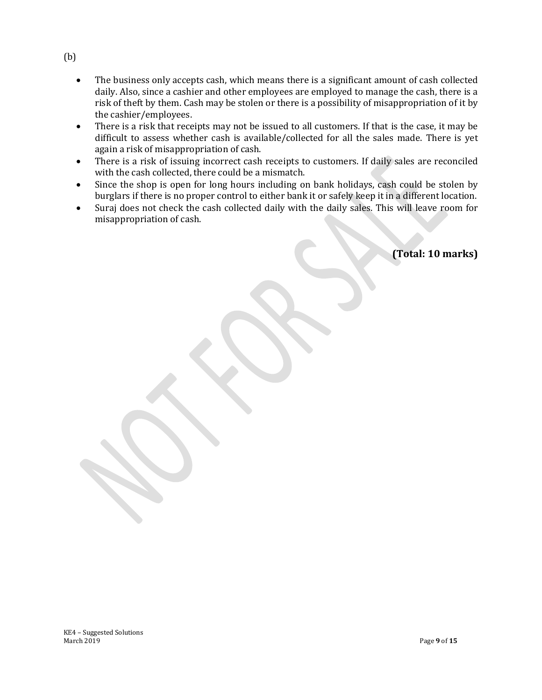- The business only accepts cash, which means there is a significant amount of cash collected daily. Also, since a cashier and other employees are employed to manage the cash, there is a risk of theft by them. Cash may be stolen or there is a possibility of misappropriation of it by the cashier/employees.
- There is a risk that receipts may not be issued to all customers. If that is the case, it may be difficult to assess whether cash is available/collected for all the sales made. There is yet again a risk of misappropriation of cash.
- There is a risk of issuing incorrect cash receipts to customers. If daily sales are reconciled with the cash collected, there could be a mismatch.
- Since the shop is open for long hours including on bank holidays, cash could be stolen by burglars if there is no proper control to either bank it or safely keep it in a different location.
- Suraj does not check the cash collected daily with the daily sales. This will leave room for misappropriation of cash.

**(Total: 10 marks)**

(b)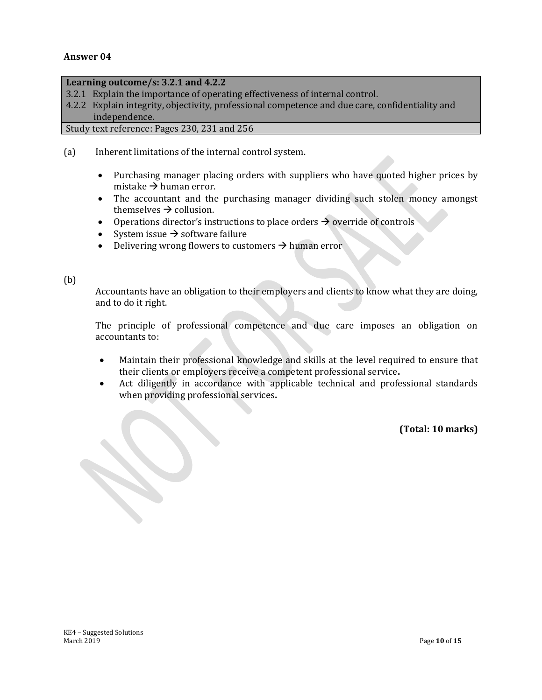#### **Answer 04**

#### **Learning outcome/s: 3.2.1 and 4.2.2**

- 3.2.1 Explain the importance of operating effectiveness of internal control.
- 4.2.2 Explain integrity, objectivity, professional competence and due care, confidentiality and independence.

Study text reference: Pages 230, 231 and 256

- (a) Inherent limitations of the internal control system.
	- Purchasing manager placing orders with suppliers who have quoted higher prices by mistake  $\rightarrow$  human error.
	- The accountant and the purchasing manager dividing such stolen money amongst themselves  $\rightarrow$  collusion.
	- Operations director's instructions to place orders  $\rightarrow$  override of controls
	- System issue  $\rightarrow$  software failure
	- Delivering wrong flowers to customers  $\rightarrow$  human error

#### (b)

Accountants have an obligation to their employers and clients to know what they are doing, and to do it right.

The principle of professional competence and due care imposes an obligation on accountants to:

- Maintain their professional knowledge and skills at the level required to ensure that their clients or employers receive a competent professional service**.**
- Act diligently in accordance with applicable technical and professional standards when providing professional services**.**

**(Total: 10 marks)**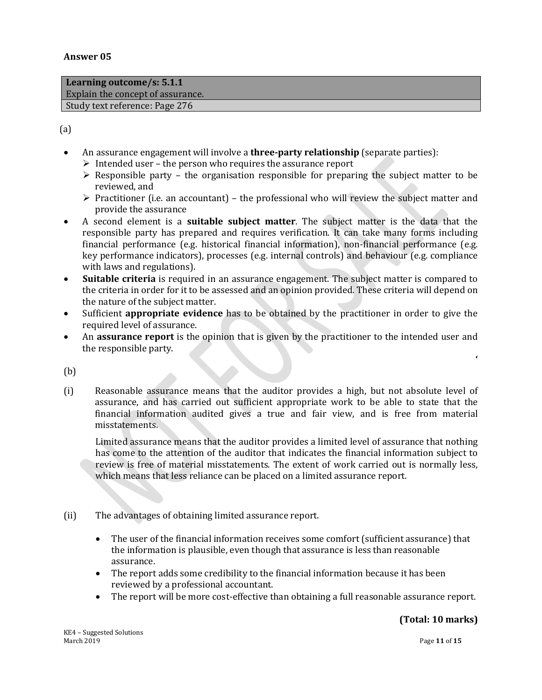**Learning outcome/s: 5.1.1** Explain the concept of assurance. Study text reference: Page 276

(a)

- An assurance engagement will involve a **three-party relationship** (separate parties):
	- $\triangleright$  Intended user the person who requires the assurance report
	- $\triangleright$  Responsible party the organisation responsible for preparing the subject matter to be reviewed, and
	- $\triangleright$  Practitioner (i.e. an accountant) the professional who will review the subject matter and provide the assurance
- A second element is a **suitable subject matter**. The subject matter is the data that the responsible party has prepared and requires verification. It can take many forms including financial performance (e.g. historical financial information), non-financial performance (e.g. key performance indicators), processes (e.g. internal controls) and behaviour (e.g. compliance with laws and regulations).
- **Suitable criteria** is required in an assurance engagement. The subject matter is compared to the criteria in order for it to be assessed and an opinion provided. These criteria will depend on the nature of the subject matter.
- Sufficient **appropriate evidence** has to be obtained by the practitioner in order to give the required level of assurance.
- An **assurance report** is the opinion that is given by the practitioner to the intended user and the responsible party.

(b)

(i) Reasonable assurance means that the auditor provides a high, but not absolute level of assurance, and has carried out sufficient appropriate work to be able to state that the financial information audited gives a true and fair view, and is free from material misstatements.

Limited assurance means that the auditor provides a limited level of assurance that nothing has come to the attention of the auditor that indicates the financial information subject to review is free of material misstatements. The extent of work carried out is normally less, which means that less reliance can be placed on a limited assurance report.

- (ii) The advantages of obtaining limited assurance report.
	- The user of the financial information receives some comfort (sufficient assurance) that the information is plausible, even though that assurance is less than reasonable assurance.
	- The report adds some credibility to the financial information because it has been reviewed by a professional accountant.
	- The report will be more cost-effective than obtaining a full reasonable assurance report.

**'**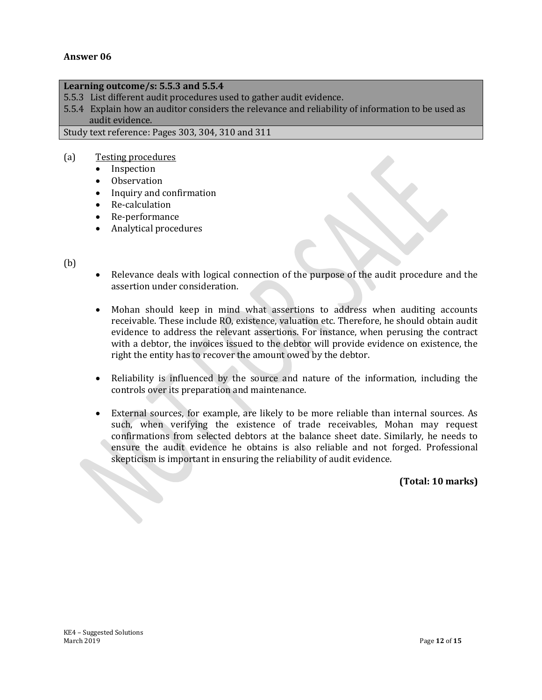#### **Answer 06**

#### **Learning outcome/s: 5.5.3 and 5.5.4**

5.5.3 List different audit procedures used to gather audit evidence.

5.5.4 Explain how an auditor considers the relevance and reliability of information to be used as audit evidence.

Study text reference: Pages 303, 304, 310 and 311

#### (a) Testing procedures

- Inspection
- Observation
- Inquiry and confirmation
- Re-calculation
- Re-performance
- Analytical procedures
- (b)
- Relevance deals with logical connection of the purpose of the audit procedure and the assertion under consideration.
- Mohan should keep in mind what assertions to address when auditing accounts receivable. These include RO, existence, valuation etc. Therefore, he should obtain audit evidence to address the relevant assertions. For instance, when perusing the contract with a debtor, the invoices issued to the debtor will provide evidence on existence, the right the entity has to recover the amount owed by the debtor.
- Reliability is influenced by the source and nature of the information, including the controls over its preparation and maintenance.
- External sources, for example, are likely to be more reliable than internal sources. As such, when verifying the existence of trade receivables, Mohan may request confirmations from selected debtors at the balance sheet date. Similarly, he needs to ensure the audit evidence he obtains is also reliable and not forged. Professional skepticism is important in ensuring the reliability of audit evidence.

**(Total: 10 marks)**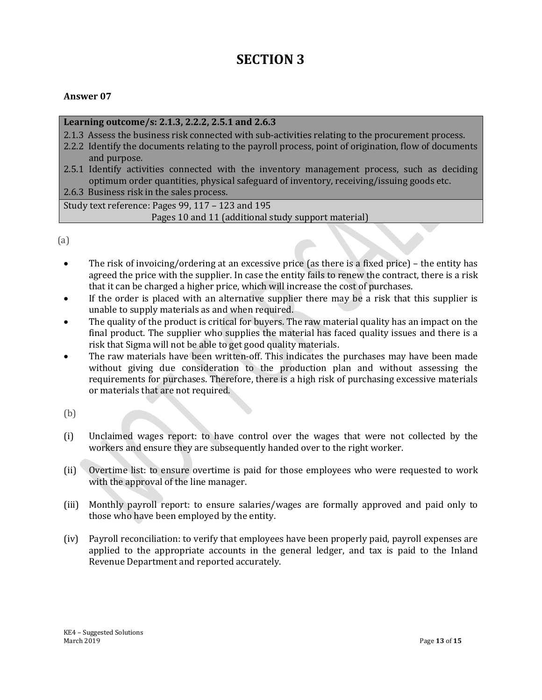# **SECTION 3**

# **Answer 07**

#### **Learning outcome/s: 2.1.3, 2.2.2, 2.5.1 and 2.6.3**

- 2.1.3 Assess the business risk connected with sub-activities relating to the procurement process.
- 2.2.2 Identify the documents relating to the payroll process, point of origination, flow of documents and purpose.
- 2.5.1 Identify activities connected with the inventory management process, such as deciding optimum order quantities, physical safeguard of inventory, receiving/issuing goods etc.

2.6.3 Business risk in the sales process.

Study text reference: Pages 99, 117 – 123 and 195 Pages 10 and 11 (additional study support material)

(a)

- The risk of invoicing/ordering at an excessive price (as there is a fixed price) the entity has agreed the price with the supplier. In case the entity fails to renew the contract, there is a risk that it can be charged a higher price, which will increase the cost of purchases.
- If the order is placed with an alternative supplier there may be a risk that this supplier is unable to supply materials as and when required.
- The quality of the product is critical for buyers. The raw material quality has an impact on the final product. The supplier who supplies the material has faced quality issues and there is a risk that Sigma will not be able to get good quality materials.
- The raw materials have been written-off. This indicates the purchases may have been made without giving due consideration to the production plan and without assessing the requirements for purchases. Therefore, there is a high risk of purchasing excessive materials or materials that are not required.

(b)

- (i) Unclaimed wages report: to have control over the wages that were not collected by the workers and ensure they are subsequently handed over to the right worker.
- (ii) Overtime list: to ensure overtime is paid for those employees who were requested to work with the approval of the line manager.
- (iii) Monthly payroll report: to ensure salaries/wages are formally approved and paid only to those who have been employed by the entity.
- (iv) Payroll reconciliation: to verify that employees have been properly paid, payroll expenses are applied to the appropriate accounts in the general ledger, and tax is paid to the Inland Revenue Department and reported accurately.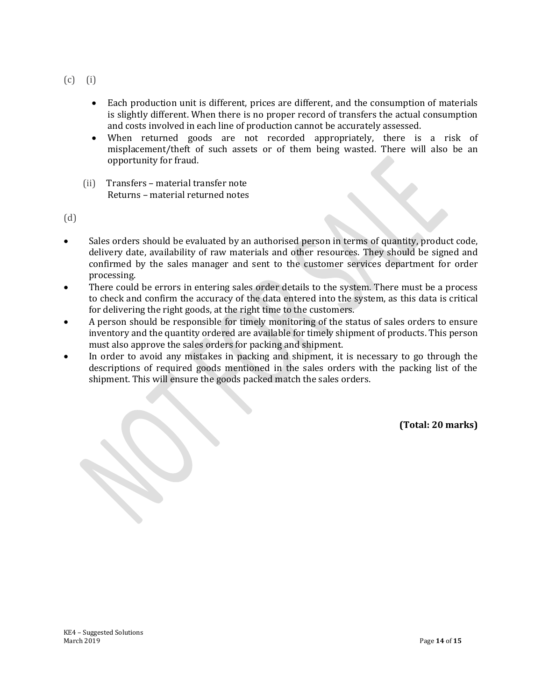- (c) (i)
	- Each production unit is different, prices are different, and the consumption of materials is slightly different. When there is no proper record of transfers the actual consumption and costs involved in each line of production cannot be accurately assessed.
	- When returned goods are not recorded appropriately, there is a risk of misplacement/theft of such assets or of them being wasted. There will also be an opportunity for fraud.
	- (ii) Transfers material transfer note Returns – material returned notes

(d)

- Sales orders should be evaluated by an authorised person in terms of quantity, product code, delivery date, availability of raw materials and other resources. They should be signed and confirmed by the sales manager and sent to the customer services department for order processing.
- There could be errors in entering sales order details to the system. There must be a process to check and confirm the accuracy of the data entered into the system, as this data is critical for delivering the right goods, at the right time to the customers.
- A person should be responsible for timely monitoring of the status of sales orders to ensure inventory and the quantity ordered are available for timely shipment of products. This person must also approve the sales orders for packing and shipment.
- In order to avoid any mistakes in packing and shipment, it is necessary to go through the descriptions of required goods mentioned in the sales orders with the packing list of the shipment. This will ensure the goods packed match the sales orders.

**(Total: 20 marks)**